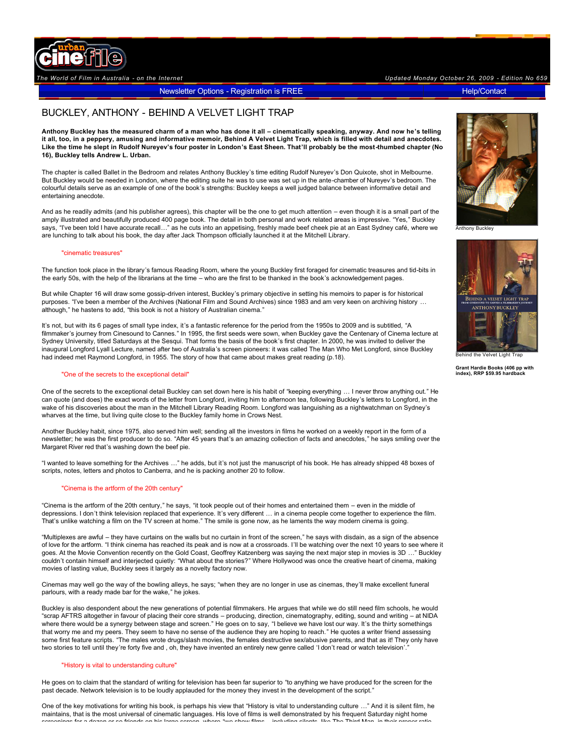

Newsletter Options - [Registration is FREE](http://www.urbancinefile.com.au/register/) [Help/Contact](http://www.urbancinefile.com.au/home/view.asp?a=6658) Help/Contact

# BUCKLEY, ANTHONY - BEHIND A VELVET LIGHT TRAP

**Anthony Buckley has the measured charm of a man who has done it all – cinematically speaking, anyway. And now he's telling it all, too, in a peppery, amusing and informative memoir, Behind A Velvet Light Trap, which is filled with detail and anecdotes.**  Like the time he slept in Rudolf Nureyev's four poster in London's East Sheen. That'll probably be the most-thumbed chapter (No **16), Buckley tells Andrew L. Urban.** 

The chapter is called Ballet in the Bedroom and relates Anthony Buckley's time editing Rudolf Nureyev's Don Quixote, shot in Melbourne. But Buckley would be needed in London, where the editing suite he was to use was set up in the ante-chamber of Nureyev's bedroom. The colourful details serve as an example of one of the book's strengths: Buckley keeps a well judged balance between informative detail and entertaining anecdote.

And as he readily admits (and his publisher agrees), this chapter will be the one to get much attention – even though it is a small part of the amply illustrated and beautifully produced 400 page book. The detail in both personal and work related areas is impressive. "Yes," Buckley says, "I've been told I have accurate recall…" as he cuts into an appetising, freshly made beef cheek pie at an East Sydney café, where we are lunching to talk about his book, the day after Jack Thompson officially launched it at the Mitchell Library.

#### "cinematic treasures"

The function took place in the library's famous Reading Room, where the young Buckley first foraged for cinematic treasures and tid-bits in the early 50s, with the help of the librarians at the time – who are the first to be thanked in the book's acknowledgement pages.

But while Chapter 16 will draw some gossip-driven interest, Buckley's primary objective in setting his memoirs to paper is for historical purposes. "I've been a member of the Archives (National Film and Sound Archives) since 1983 and am very keen on archiving history ... although," he hastens to add, "this book is not a history of Australian cinema."

It's not, but with its 6 pages of small type index, it's a fantastic reference for the period from the 1950s to 2009 and is subtitled, "A filmmaker's journey from Cinesound to Cannes." In 1995, the first seeds were sown, when Buckley gave the Centenary of Cinema lecture at Sydney University, titled Saturdays at the Sesqui. That forms the basis of the book's first chapter. In 2000, he was invited to deliver the inaugural Longford Lyall Lecture, named after two of Australia's screen pioneers: it was called The Man Who Met Longford, since Buckley had indeed met Raymond Longford, in 1955. The story of how that came about makes great reading (p.18).

### "One of the secrets to the exceptional detail"

One of the secrets to the exceptional detail Buckley can set down here is his habit of "keeping everything … I never throw anything out." He can quote (and does) the exact words of the letter from Longford, inviting him to afternoon tea, following Buckley's letters to Longford, in the wake of his discoveries about the man in the Mitchell Library Reading Room. Longford was languishing as a nightwatchman on Sydney's wharves at the time, but living quite close to the Buckley family home in Crows Nest.

Another Buckley habit, since 1975, also served him well; sending all the investors in films he worked on a weekly report in the form of a newsletter; he was the first producer to do so. "After 45 years that's an amazing collection of facts and anecdotes," he says smiling over the Margaret River red that's washing down the beef pie.

"I wanted to leave something for the Archives …" he adds, but it's not just the manuscript of his book. He has already shipped 48 boxes of scripts, notes, letters and photos to Canberra, and he is packing another 20 to follow.

#### "Cinema is the artform of the 20th century"

"Cinema is the artform of the 20th century," he says, "it took people out of their homes and entertained them – even in the middle of depressions. I don't think television replaced that experience. It's very different … in a cinema people come together to experience the film. That's unlike watching a film on the TV screen at home." The smile is gone now, as he laments the way modern cinema is going.

"Multiplexes are awful – they have curtains on the walls but no curtain in front of the screen," he says with disdain, as a sign of the absence of love for the artform. "I think cinema has reached its peak and is now at a crossroads. I'll be watching over the next 10 years to see where it goes. At the Movie Convention recently on the Gold Coast, Geoffrey Katzenberg was saying the next major step in movies is 3D …" Buckley couldn't contain himself and interjected quietly: "What about the stories?" Where Hollywood was once the creative heart of cinema, making movies of lasting value, Buckley sees it largely as a novelty factory now.

Cinemas may well go the way of the bowling alleys, he says; "when they are no longer in use as cinemas, they'll make excellent funeral parlours, with a ready made bar for the wake," he jokes.

Buckley is also despondent about the new generations of potential filmmakers. He argues that while we do still need film schools, he would "scrap AFTRS altogether in favour of placing their core strands – producing, direction, cinematography, editing, sound and writing – at NIDA where there would be a synergy between stage and screen." He goes on to say, "I believe we have lost our way. It's the thirty somethings that worry me and my peers. They seem to have no sense of the audience they are hoping to reach." He quotes a writer friend assessing some first feature scripts. "The males wrote drugs/slash movies, the females destructive sex/abusive parents, and that as it! They only have two stories to tell until they're forty five and , oh, they have invented an entirely new genre called 'I don't read or watch television'."

#### "History is vital to understanding culture"

He goes on to claim that the standard of writing for television has been far superior to "to anything we have produced for the screen for the past decade. Network television is to be loudly applauded for the money they invest in the development of the script."

One of the key motivations for writing his book, is perhaps his view that "History is vital to understanding culture …" And it is silent film, he maintains, that is the most universal of cinematic languages. His love of films is well demonstrated by his frequent Saturday night home screenings for a dozen or so friends on his large screen, where "we show films", including silente, like The Third Man, in their proper ratio.<br>.



Anthony Buckley



Behind the Velvet Light Trap

**Grant Hardie Books (406 pp with index), RRP \$59.95 hardback**